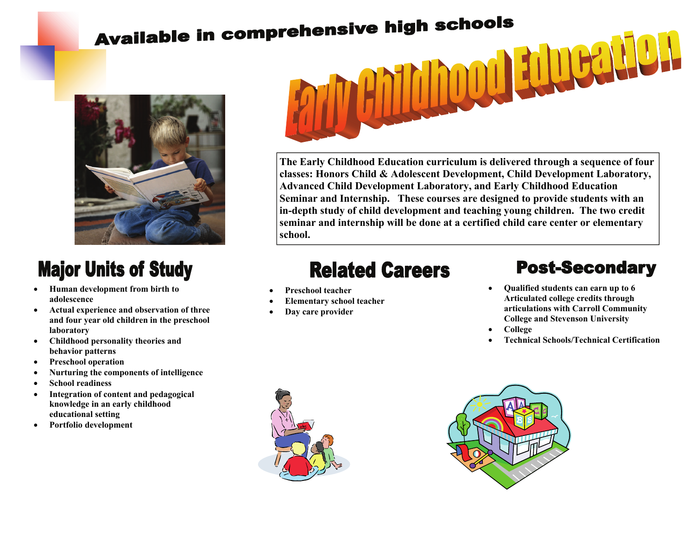# **Available in comprehensive high schools**



## **Major Units of Study**

- **Human development from birth to adolescence**
- **Actual experience and observation of three and four year old children in the preschool laboratory**
- **Childhood personality theories and behavior patterns**
- **Preschool operation**
- **Nurturing the components of intelligence**
- **School readiness**
- **Integration of content and pedagogical knowledge in an early childhood educational setting**
- **Portfolio development**



**The Early Childhood Education curriculum is delivered through a sequence of four classes: Honors Child & Adolescent Development, Child Development Laboratory, Advanced Child Development Laboratory, and Early Childhood Education Seminar and Internship. These courses are designed to provide students with an in-depth study of child development and teaching young children. The two credit seminar and internship will be done at a certified child care center or elementary school.** 

## **Related Careers**

- **Preschool teacher**
- **Elementary school teacher**
- **Day care provider**

#### **Post-Secondary**

- **Qualified students can earn up to 6 Articulated college credits through articulations with Carroll Community College and Stevenson University**
- **College**
- **Technical Schools/Technical Certification**